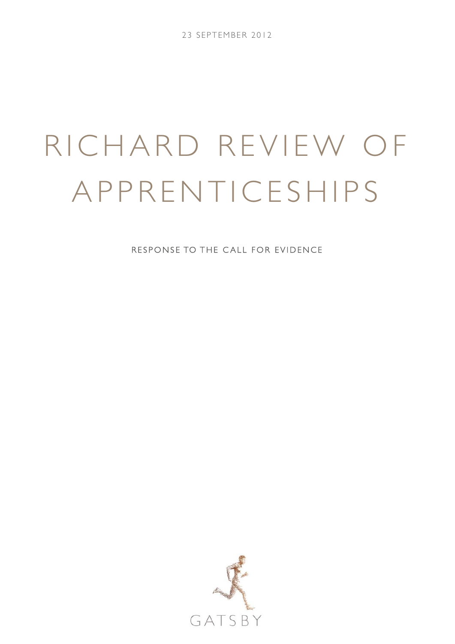# RICHARD REVIEW OF APPRENTICESHIPS

RESPONSE TO THE CALL FOR EVIDENCE

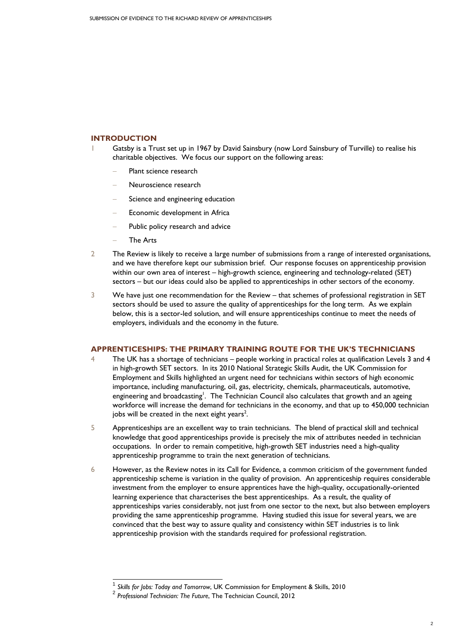## **INTRODUCTION**

- 1 Gatsby is a Trust set up in 1967 by David Sainsbury (now Lord Sainsbury of Turville) to realise his charitable objectives. We focus our support on the following areas:
	- Plant science research
	- − Neuroscience research
	- Science and engineering education
	- Economic development in Africa
	- Public policy research and advice
	- − The Arts

- 2 The Review is likely to receive a large number of submissions from a range of interested organisations, and we have therefore kept our submission brief. Our response focuses on apprenticeship provision within our own area of interest – high-growth science, engineering and technology-related (SET) sectors – but our ideas could also be applied to apprenticeships in other sectors of the economy.
- 3 We have just one recommendation for the Review that schemes of professional registration in SET sectors should be used to assure the quality of apprenticeships for the long term. As we explain below, this is a sector-led solution, and will ensure apprenticeships continue to meet the needs of employers, individuals and the economy in the future.

## **APPRENTICESHIPS: THE PRIMARY TRAINING ROUTE FOR THE UK'S TECHNICIANS**

- 4 The UK has a shortage of technicians people working in practical roles at qualification Levels 3 and 4 in high-growth SET sectors. In its 2010 National Strategic Skills Audit, the UK Commission for Employment and Skills highlighted an urgent need for technicians within sectors of high economic importance, including manufacturing, oil, gas, electricity, chemicals, pharmaceuticals, automotive, engineering and broadcasting<sup>1</sup>. The Technician Council also calculates that growth and an ageing workforce will increase the demand for technicians in the economy, and that up to 450,000 technician jobs will be created in the next eight years<sup>2</sup>.
- 5 Apprenticeships are an excellent way to train technicians. The blend of practical skill and technical knowledge that good apprenticeships provide is precisely the mix of attributes needed in technician occupations. In order to remain competitive, high-growth SET industries need a high-quality apprenticeship programme to train the next generation of technicians.
- 6 However, as the Review notes in its Call for Evidence, a common criticism of the government funded apprenticeship scheme is variation in the quality of provision. An apprenticeship requires considerable investment from the employer to ensure apprentices have the high-quality, occupationally-oriented learning experience that characterises the best apprenticeships. As a result, the quality of apprenticeships varies considerably, not just from one sector to the next, but also between employers providing the same apprenticeship programme. Having studied this issue for several years, we are convinced that the best way to assure quality and consistency within SET industries is to link apprenticeship provision with the standards required for professional registration.

<sup>&</sup>lt;sup>1</sup> Skills for Jobs: Today and Tomorrow, UK Commission for Employment & Skills, 2010<br><sup>2</sup> Professional Technician: The Future, The Technician Council, 2012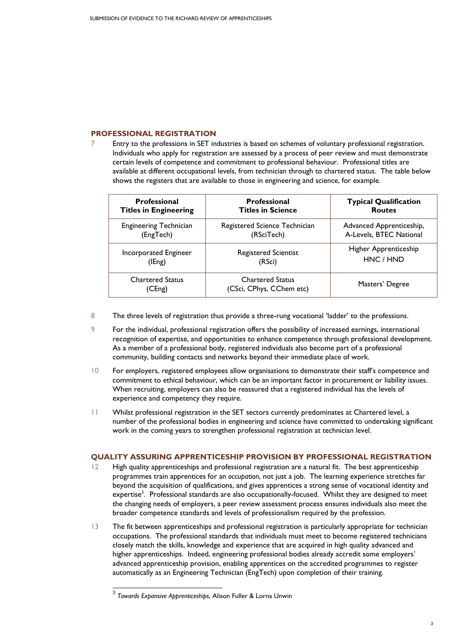# **PROFESSIONAL REGISTRATION**

7 Entry to the professions in SET industries is based on schemes of voluntary professional registration. Individuals who apply for registration are assessed by a process of peer review and must demonstrate certain levels of competence and commitment to professional behaviour. Professional titles are available at different occupational levels, from technician through to chartered status. The table below shows the registers that are available to those in engineering and science, for example.

| <b>Professional</b>               | <b>Professional</b>                                 | <b>Typical Qualification</b> |
|-----------------------------------|-----------------------------------------------------|------------------------------|
| <b>Titles in Engineering</b>      | <b>Titles in Science</b>                            | <b>Routes</b>                |
| <b>Engineering Technician</b>     | Registered Science Technician                       | Advanced Apprenticeship,     |
| (EngTech)                         | (RSciTech)                                          | A-Levels, BTEC National      |
| Incorporated Engineer             | <b>Registered Scientist</b>                         | Higher Apprenticeship        |
| (IEng)                            | (RSci)                                              | HNC / HND                    |
| <b>Chartered Status</b><br>(CEng) | <b>Chartered Status</b><br>(CSci, CPhys, CChem etc) | Masters' Degree              |

- 8 The three levels of registration thus provide a three-rung vocational 'ladder' to the professions.
- 9 For the individual, professional registration offers the possibility of increased earnings, international recognition of expertise, and opportunities to enhance competence through professional development. As a member of a professional body, registered individuals also become part of a professional community, building contacts and networks beyond their immediate place of work.
- 10 For employers, registered employees allow organisations to demonstrate their staff's competence and commitment to ethical behaviour, which can be an important factor in procurement or liability issues. When recruiting, employers can also be reassured that a registered individual has the levels of experience and competency they require.
- 11 Whilst professional registration in the SET sectors currently predominates at Chartered level, a number of the professional bodies in engineering and science have committed to undertaking significant work in the coming years to strengthen professional registration at technician level.

## **QUALITY ASSURING APPRENTICESHIP PROVISION BY PROFESSIONAL REGISTRATION**

- 12 High quality apprenticeships and professional registration are a natural fit. The best apprenticeship programmes train apprentices for an *occupation*, not just a job. The learning experience stretches far beyond the acquisition of qualifications, and gives apprentices a strong sense of vocational identity and expertise<sup>3</sup>. Professional standards are also occupationally-focused. Whilst they are designed to meet the changing needs of employers, a peer review assessment process ensures individuals also meet the broader competence standards and levels of professionalism required by the profession.
- 13 The fit between apprenticeships and professional registration is particularly appropriate for technician occupations. The professional standards that individuals must meet to become registered technicians closely match the skills, knowledge and experience that are acquired in high quality advanced and higher apprenticeships. Indeed, engineering professional bodies already accredit some employers' advanced apprenticeship provision, enabling apprentices on the accredited programmes to register automatically as an Engineering Technician (EngTech) upon completion of their training.

 $\overline{a}$ 

<sup>3</sup> *Towards Expansive Apprenticeships*, Alison Fuller & Lorna Unwin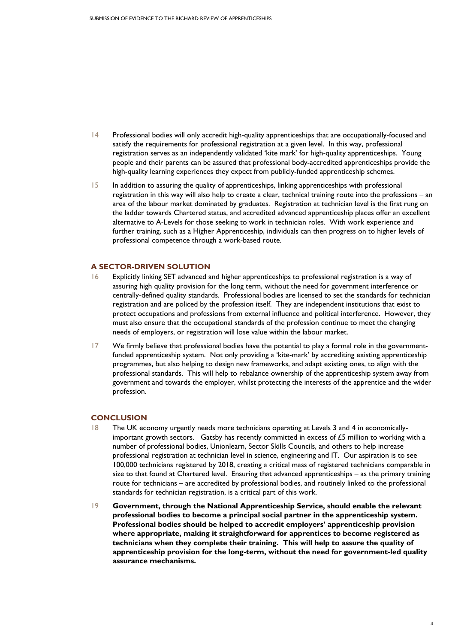- 14 Professional bodies will only accredit high-quality apprenticeships that are occupationally-focused and satisfy the requirements for professional registration at a given level. In this way, professional registration serves as an independently validated 'kite mark' for high-quality apprenticeships. Young people and their parents can be assured that professional body-accredited apprenticeships provide the high-quality learning experiences they expect from publicly-funded apprenticeship schemes.
- 15 In addition to assuring the quality of apprenticeships, linking apprenticeships with professional registration in this way will also help to create a clear, technical training route into the professions – an area of the labour market dominated by graduates. Registration at technician level is the first rung on the ladder towards Chartered status, and accredited advanced apprenticeship places offer an excellent alternative to A-Levels for those seeking to work in technician roles. With work experience and further training, such as a Higher Apprenticeship, individuals can then progress on to higher levels of professional competence through a work-based route.

## **A SECTOR-DRIVEN SOLUTION**

- 16 Explicitly linking SET advanced and higher apprenticeships to professional registration is a way of assuring high quality provision for the long term, without the need for government interference or centrally-defined quality standards. Professional bodies are licensed to set the standards for technician registration and are policed by the profession itself. They are independent institutions that exist to protect occupations and professions from external influence and political interference. However, they must also ensure that the occupational standards of the profession continue to meet the changing needs of employers, or registration will lose value within the labour market.
- 17 We firmly believe that professional bodies have the potential to play a formal role in the governmentfunded apprenticeship system. Not only providing a 'kite-mark' by accrediting existing apprenticeship programmes, but also helping to design new frameworks, and adapt existing ones, to align with the professional standards. This will help to rebalance ownership of the apprenticeship system away from government and towards the employer, whilst protecting the interests of the apprentice and the wider profession.

### **CONCLUSION**

- 18 The UK economy urgently needs more technicians operating at Levels 3 and 4 in economicallyimportant growth sectors. Gatsby has recently committed in excess of  $£5$  million to working with a number of professional bodies, Unionlearn, Sector Skills Councils, and others to help increase professional registration at technician level in science, engineering and IT. Our aspiration is to see 100,000 technicians registered by 2018, creating a critical mass of registered technicians comparable in size to that found at Chartered level. Ensuring that advanced apprenticeships – as the primary training route for technicians – are accredited by professional bodies, and routinely linked to the professional standards for technician registration, is a critical part of this work.
- 19 **Government, through the National Apprenticeship Service, should enable the relevant professional bodies to become a principal social partner in the apprenticeship system. Professional bodies should be helped to accredit employers' apprenticeship provision where appropriate, making it straightforward for apprentices to become registered as technicians when they complete their training. This will help to assure the quality of apprenticeship provision for the long-term, without the need for government-led quality assurance mechanisms.**